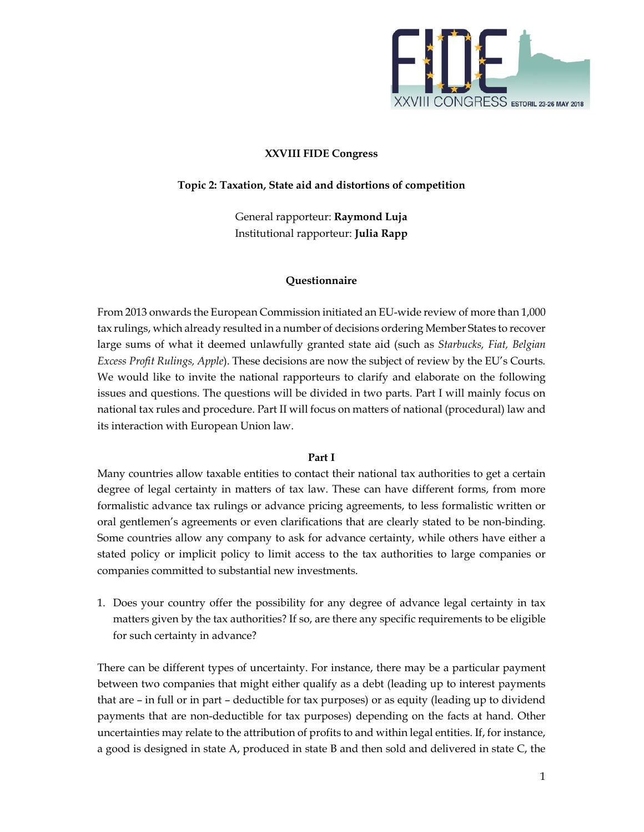

## **XXVIII FIDE Congress**

### **Topic 2: Taxation, State aid and distortions of competition**

General rapporteur: **Raymond Luja**  Institutional rapporteur: **Julia Rapp**

#### **Questionnaire**

From 2013 onwards the European Commission initiated an EU-wide review of more than 1,000 tax rulings, which already resulted in a number of decisions ordering Member States to recover large sums of what it deemed unlawfully granted state aid (such as *Starbucks, Fiat, Belgian Excess Profit Rulings, Apple*). These decisions are now the subject of review by the EU's Courts. We would like to invite the national rapporteurs to clarify and elaborate on the following issues and questions. The questions will be divided in two parts. Part I will mainly focus on national tax rules and procedure. Part II will focus on matters of national (procedural) law and its interaction with European Union law.

#### **Part I**

Many countries allow taxable entities to contact their national tax authorities to get a certain degree of legal certainty in matters of tax law. These can have different forms, from more formalistic advance tax rulings or advance pricing agreements, to less formalistic written or oral gentlemen's agreements or even clarifications that are clearly stated to be non-binding. Some countries allow any company to ask for advance certainty, while others have either a stated policy or implicit policy to limit access to the tax authorities to large companies or companies committed to substantial new investments.

1. Does your country offer the possibility for any degree of advance legal certainty in tax matters given by the tax authorities? If so, are there any specific requirements to be eligible for such certainty in advance?

There can be different types of uncertainty. For instance, there may be a particular payment between two companies that might either qualify as a debt (leading up to interest payments that are – in full or in part – deductible for tax purposes) or as equity (leading up to dividend payments that are non-deductible for tax purposes) depending on the facts at hand. Other uncertainties may relate to the attribution of profits to and within legal entities. If, for instance, a good is designed in state A, produced in state B and then sold and delivered in state C, the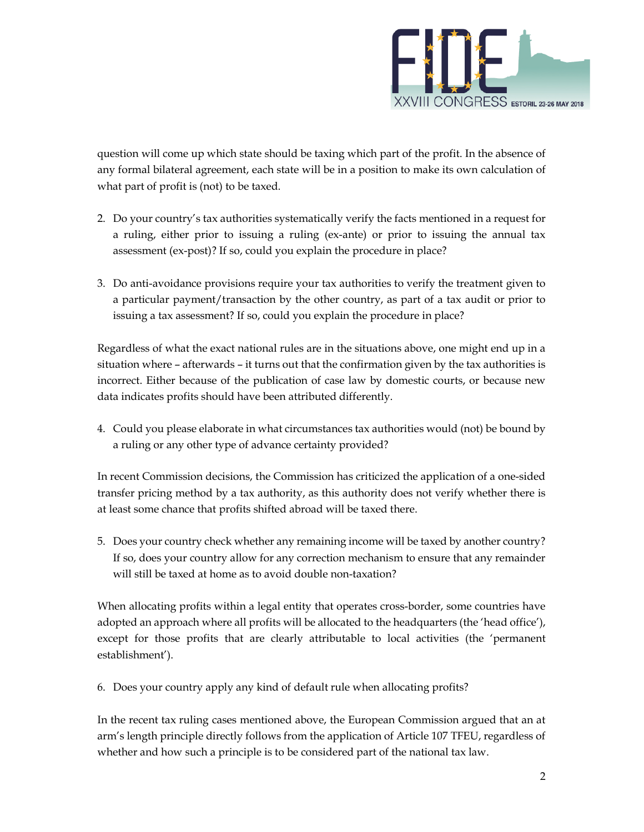

question will come up which state should be taxing which part of the profit. In the absence of any formal bilateral agreement, each state will be in a position to make its own calculation of what part of profit is (not) to be taxed.

- 2. Do your country's tax authorities systematically verify the facts mentioned in a request for a ruling, either prior to issuing a ruling (ex-ante) or prior to issuing the annual tax assessment (ex-post)? If so, could you explain the procedure in place?
- 3. Do anti-avoidance provisions require your tax authorities to verify the treatment given to a particular payment/transaction by the other country, as part of a tax audit or prior to issuing a tax assessment? If so, could you explain the procedure in place?

Regardless of what the exact national rules are in the situations above, one might end up in a situation where – afterwards – it turns out that the confirmation given by the tax authorities is incorrect. Either because of the publication of case law by domestic courts, or because new data indicates profits should have been attributed differently.

4. Could you please elaborate in what circumstances tax authorities would (not) be bound by a ruling or any other type of advance certainty provided?

In recent Commission decisions, the Commission has criticized the application of a one-sided transfer pricing method by a tax authority, as this authority does not verify whether there is at least some chance that profits shifted abroad will be taxed there.

5. Does your country check whether any remaining income will be taxed by another country? If so, does your country allow for any correction mechanism to ensure that any remainder will still be taxed at home as to avoid double non-taxation?

When allocating profits within a legal entity that operates cross-border, some countries have adopted an approach where all profits will be allocated to the headquarters (the 'head office'), except for those profits that are clearly attributable to local activities (the 'permanent establishment').

6. Does your country apply any kind of default rule when allocating profits?

In the recent tax ruling cases mentioned above, the European Commission argued that an at arm's length principle directly follows from the application of Article 107 TFEU, regardless of whether and how such a principle is to be considered part of the national tax law.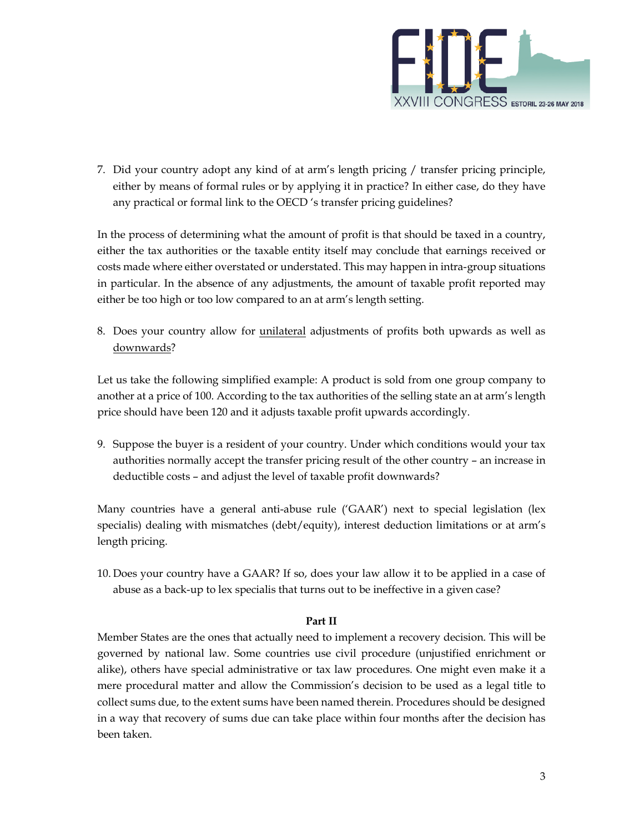

7. Did your country adopt any kind of at arm's length pricing / transfer pricing principle, either by means of formal rules or by applying it in practice? In either case, do they have any practical or formal link to the OECD 's transfer pricing guidelines?

In the process of determining what the amount of profit is that should be taxed in a country, either the tax authorities or the taxable entity itself may conclude that earnings received or costs made where either overstated or understated. This may happen in intra-group situations in particular. In the absence of any adjustments, the amount of taxable profit reported may either be too high or too low compared to an at arm's length setting.

8. Does your country allow for unilateral adjustments of profits both upwards as well as downwards?

Let us take the following simplified example: A product is sold from one group company to another at a price of 100. According to the tax authorities of the selling state an at arm's length price should have been 120 and it adjusts taxable profit upwards accordingly.

9. Suppose the buyer is a resident of your country. Under which conditions would your tax authorities normally accept the transfer pricing result of the other country – an increase in deductible costs – and adjust the level of taxable profit downwards?

Many countries have a general anti-abuse rule ('GAAR') next to special legislation (lex specialis) dealing with mismatches (debt/equity), interest deduction limitations or at arm's length pricing.

10. Does your country have a GAAR? If so, does your law allow it to be applied in a case of abuse as a back-up to lex specialis that turns out to be ineffective in a given case?

# **Part II**

Member States are the ones that actually need to implement a recovery decision. This will be governed by national law. Some countries use civil procedure (unjustified enrichment or alike), others have special administrative or tax law procedures. One might even make it a mere procedural matter and allow the Commission's decision to be used as a legal title to collect sums due, to the extent sums have been named therein. Procedures should be designed in a way that recovery of sums due can take place within four months after the decision has been taken.